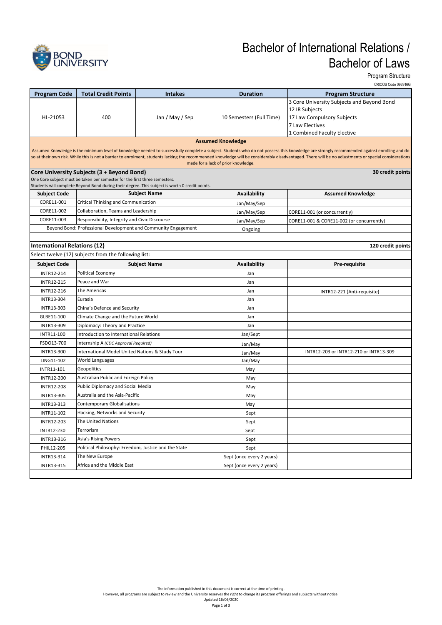

# Bachelor of International Relations / Bachelor of Laws

Program Structure

|                                                                                                                                                                                                                                                                                                                                                                                                                                             | CRICOS Code 093916G                                                                            |                                                                |                           |                                            |  |  |  |
|---------------------------------------------------------------------------------------------------------------------------------------------------------------------------------------------------------------------------------------------------------------------------------------------------------------------------------------------------------------------------------------------------------------------------------------------|------------------------------------------------------------------------------------------------|----------------------------------------------------------------|---------------------------|--------------------------------------------|--|--|--|
| <b>Program Code</b>                                                                                                                                                                                                                                                                                                                                                                                                                         | <b>Total Credit Points</b>                                                                     | <b>Intakes</b>                                                 | <b>Duration</b>           | <b>Program Structure</b>                   |  |  |  |
|                                                                                                                                                                                                                                                                                                                                                                                                                                             |                                                                                                |                                                                |                           | 3 Core University Subjects and Beyond Bond |  |  |  |
|                                                                                                                                                                                                                                                                                                                                                                                                                                             |                                                                                                |                                                                |                           | 12 IR Subjects                             |  |  |  |
| HL-21053                                                                                                                                                                                                                                                                                                                                                                                                                                    | 400                                                                                            | Jan / May / Sep                                                | 10 Semesters (Full Time)  | 17 Law Compulsory Subjects                 |  |  |  |
|                                                                                                                                                                                                                                                                                                                                                                                                                                             |                                                                                                |                                                                |                           | 7 Law Electives                            |  |  |  |
|                                                                                                                                                                                                                                                                                                                                                                                                                                             |                                                                                                |                                                                |                           | 1 Combined Faculty Elective                |  |  |  |
| <b>Assumed Knowledge</b>                                                                                                                                                                                                                                                                                                                                                                                                                    |                                                                                                |                                                                |                           |                                            |  |  |  |
| Assumed Knowledge is the minimum level of knowledge needed to successfully complete a subject. Students who do not possess this knowledge are strongly recommended against enrolling and do<br>so at their own risk. While this is not a barrier to enrolment, students lacking the recommended knowledge will be considerably disadvantaged. There will be no adjustments or special considerations<br>made for a lack of prior knowledge. |                                                                                                |                                                                |                           |                                            |  |  |  |
|                                                                                                                                                                                                                                                                                                                                                                                                                                             | Core University Subjects (3 + Beyond Bond)                                                     |                                                                |                           | 30 credit points                           |  |  |  |
|                                                                                                                                                                                                                                                                                                                                                                                                                                             | One Core subject must be taken per semester for the first three semesters.                     |                                                                |                           |                                            |  |  |  |
|                                                                                                                                                                                                                                                                                                                                                                                                                                             | Students will complete Beyond Bond during their degree. This subject is worth 0 credit points. |                                                                |                           |                                            |  |  |  |
| Subject Code                                                                                                                                                                                                                                                                                                                                                                                                                                | <b>Subject Name</b>                                                                            |                                                                | Availability              | <b>Assumed Knowledge</b>                   |  |  |  |
| CORE11-001                                                                                                                                                                                                                                                                                                                                                                                                                                  | Critical Thinking and Communication                                                            |                                                                | Jan/May/Sep               |                                            |  |  |  |
| CORE11-002                                                                                                                                                                                                                                                                                                                                                                                                                                  | Collaboration, Teams and Leadership                                                            |                                                                | Jan/May/Sep               | CORE11-001 (or concurrently)               |  |  |  |
| CORE11-003                                                                                                                                                                                                                                                                                                                                                                                                                                  | Responsibility, Integrity and Civic Discourse                                                  |                                                                | Jan/May/Sep               | CORE11-001 & CORE11-002 (or concurrently)  |  |  |  |
|                                                                                                                                                                                                                                                                                                                                                                                                                                             |                                                                                                | Beyond Bond: Professional Development and Community Engagement | Ongoing                   |                                            |  |  |  |
|                                                                                                                                                                                                                                                                                                                                                                                                                                             |                                                                                                |                                                                |                           |                                            |  |  |  |
| <b>International Relations (12)</b>                                                                                                                                                                                                                                                                                                                                                                                                         |                                                                                                |                                                                |                           | 120 credit points                          |  |  |  |
|                                                                                                                                                                                                                                                                                                                                                                                                                                             | Select twelve (12) subjects from the following list:                                           |                                                                |                           |                                            |  |  |  |
| <b>Subject Code</b>                                                                                                                                                                                                                                                                                                                                                                                                                         |                                                                                                | <b>Subject Name</b>                                            | Availability              | Pre-requisite                              |  |  |  |
| INTR12-214                                                                                                                                                                                                                                                                                                                                                                                                                                  | Political Economy                                                                              |                                                                | Jan                       |                                            |  |  |  |
| INTR12-215                                                                                                                                                                                                                                                                                                                                                                                                                                  | Peace and War                                                                                  |                                                                | Jan                       |                                            |  |  |  |
| INTR12-216                                                                                                                                                                                                                                                                                                                                                                                                                                  | The Americas                                                                                   |                                                                | Jan                       | INTR12-221 (Anti-requisite)                |  |  |  |
| INTR13-304                                                                                                                                                                                                                                                                                                                                                                                                                                  | Eurasia                                                                                        |                                                                | Jan                       |                                            |  |  |  |
| INTR13-303                                                                                                                                                                                                                                                                                                                                                                                                                                  | China's Defence and Security                                                                   |                                                                | Jan                       |                                            |  |  |  |
| GLBE11-100                                                                                                                                                                                                                                                                                                                                                                                                                                  | Climate Change and the Future World                                                            |                                                                | Jan                       |                                            |  |  |  |
| INTR13-309                                                                                                                                                                                                                                                                                                                                                                                                                                  | Diplomacy: Theory and Practice                                                                 |                                                                | Jan                       |                                            |  |  |  |
| INTR11-100                                                                                                                                                                                                                                                                                                                                                                                                                                  | Introduction to International Relations                                                        |                                                                | Jan/Sept                  |                                            |  |  |  |
| FSDO13-700                                                                                                                                                                                                                                                                                                                                                                                                                                  | Internship A (CDC Approval Required)                                                           |                                                                | Jan/May                   |                                            |  |  |  |
| INTR13-300                                                                                                                                                                                                                                                                                                                                                                                                                                  | International Model United Nations & Study Tour                                                |                                                                | Jan/May                   | INTR12-203 or INTR12-210 or INTR13-309     |  |  |  |
| LING11-102                                                                                                                                                                                                                                                                                                                                                                                                                                  | World Languages                                                                                |                                                                | Jan/May                   |                                            |  |  |  |
| INTR11-101                                                                                                                                                                                                                                                                                                                                                                                                                                  | Geopolitics                                                                                    |                                                                | May                       |                                            |  |  |  |
| INTR12-200                                                                                                                                                                                                                                                                                                                                                                                                                                  | Australian Public and Foreign Policy                                                           |                                                                | May                       |                                            |  |  |  |
| INTR12-208                                                                                                                                                                                                                                                                                                                                                                                                                                  | Public Diplomacy and Social Media                                                              |                                                                | May                       |                                            |  |  |  |
| INTR13-305                                                                                                                                                                                                                                                                                                                                                                                                                                  | Australia and the Asia-Pacific                                                                 |                                                                | May                       |                                            |  |  |  |
| INTR13-313                                                                                                                                                                                                                                                                                                                                                                                                                                  | <b>Contemporary Globalisations</b>                                                             |                                                                | May                       |                                            |  |  |  |
| INTR11-102                                                                                                                                                                                                                                                                                                                                                                                                                                  | Hacking, Networks and Security                                                                 |                                                                | Sept                      |                                            |  |  |  |
| INTR12-203                                                                                                                                                                                                                                                                                                                                                                                                                                  | The United Nations                                                                             |                                                                | Sept                      |                                            |  |  |  |
| INTR12-230                                                                                                                                                                                                                                                                                                                                                                                                                                  | Terrorism                                                                                      |                                                                | Sept                      |                                            |  |  |  |
| INTR13-316                                                                                                                                                                                                                                                                                                                                                                                                                                  | Asia's Rising Powers                                                                           |                                                                | Sept                      |                                            |  |  |  |
| PHIL12-205                                                                                                                                                                                                                                                                                                                                                                                                                                  | Political Philosophy: Freedom, Justice and the State                                           |                                                                | Sept                      |                                            |  |  |  |
| INTR13-314                                                                                                                                                                                                                                                                                                                                                                                                                                  | The New Europe                                                                                 |                                                                | Sept (once every 2 years) |                                            |  |  |  |
| INTR13-315                                                                                                                                                                                                                                                                                                                                                                                                                                  | Africa and the Middle East                                                                     |                                                                | Sept (once every 2 years) |                                            |  |  |  |
|                                                                                                                                                                                                                                                                                                                                                                                                                                             |                                                                                                |                                                                |                           |                                            |  |  |  |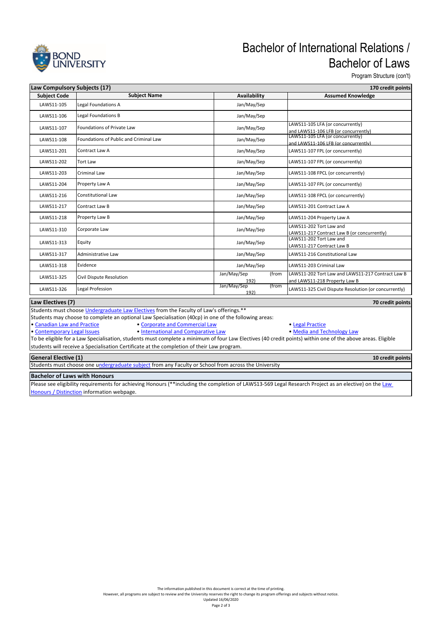

## Bachelor of International Relations / Bachelor of Laws

Program Structure (con't)

| Law Compulsory Subjects (17)<br>170 credit points |                                        |                              |                                                                                    |  |  |  |
|---------------------------------------------------|----------------------------------------|------------------------------|------------------------------------------------------------------------------------|--|--|--|
| <b>Subject Code</b>                               | <b>Subject Name</b>                    | Availability                 | <b>Assumed Knowledge</b>                                                           |  |  |  |
| LAWS11-105                                        | <b>Legal Foundations A</b>             | Jan/May/Sep                  |                                                                                    |  |  |  |
| LAWS11-106                                        | <b>Legal Foundations B</b>             | Jan/May/Sep                  |                                                                                    |  |  |  |
| LAWS11-107                                        | Foundations of Private Law             | Jan/May/Sep                  | LAWS11-105 LFA (or concurrently)<br>and LAWS11-106 LFB (or concurrently)           |  |  |  |
| LAWS11-108                                        | Foundations of Public and Criminal Law | Jan/May/Sep                  | LAWS11-105 LFA (or concurrently)<br>and LAWS11-106 LFB (or concurrently)           |  |  |  |
| LAWS11-201                                        | Contract Law A                         | Jan/May/Sep                  | LAWS11-107 FPL (or concurrently)                                                   |  |  |  |
| LAWS11-202                                        | <b>Tort Law</b>                        | Jan/May/Sep                  | LAWS11-107 FPL (or concurrently)                                                   |  |  |  |
| LAWS11-203                                        | <b>Criminal Law</b>                    | Jan/May/Sep                  | LAWS11-108 FPCL (or concurrently)                                                  |  |  |  |
| LAWS11-204                                        | Property Law A                         | Jan/May/Sep                  | LAWS11-107 FPL (or concurrently)                                                   |  |  |  |
| LAWS11-216                                        | Constitutional Law                     | Jan/May/Sep                  | LAWS11-108 FPCL (or concurrently)                                                  |  |  |  |
| LAWS11-217                                        | <b>Contract Law B</b>                  | Jan/May/Sep                  | LAWS11-201 Contract Law A                                                          |  |  |  |
| LAWS11-218                                        | Property Law B                         | Jan/May/Sep                  | LAWS11-204 Property Law A                                                          |  |  |  |
| LAWS11-310                                        | Corporate Law                          | Jan/May/Sep                  | LAWS11-202 Tort Law and<br>LAWS11-217 Contract Law B (or concurrently)             |  |  |  |
| LAWS11-313                                        | Equity                                 | Jan/May/Sep                  | LAWS11-202 Tort Law and<br>LAWS11-217 Contract Law B                               |  |  |  |
| LAWS11-317                                        | Administrative Law                     | Jan/May/Sep                  | LAWS11-216 Constitutional Law                                                      |  |  |  |
| LAWS11-318                                        | Evidence                               | Jan/May/Sep                  | LAWS11-203 Criminal Law                                                            |  |  |  |
| LAWS11-325                                        | Civil Dispute Resolution               | Jan/May/Sep<br>(from<br>192) | LAWS11-202 Tort Law and LAWS11-217 Contract Law B<br>and LAWS11-218 Property Law B |  |  |  |
| LAWS11-326                                        | Legal Profession                       | Jan/May/Sep<br>(from<br>192) | LAWS11-325 Civil Dispute Resolution (or concurrently)                              |  |  |  |
| Law Electives (7)<br>70 credit points             |                                        |                              |                                                                                    |  |  |  |

#### **Law Electives (7)**

Students must choose Undergraduate Law Electives from the Faculty of Law's offerings.\*\*

Students may choose to complete an optional Law Specialisation (40cp) in one of the following areas:

• Canadian Law and Practice **• Corporate and Commercial Law •** Legal Practice • Contemporary Legal Issues • International and Comparative Law • Media and Technology • Media and Technology • Media and Technology • Media and • International and Comparative Law **• Comparative Law • Media and Technology Law** 

To be eligible for a Law Specialisation, students must complete a minimum of four Law Electives (40 credit points) within one of the above areas. Eligible students will receive a Specialisation Certificate at the completion of their Law program.

#### **General Elective (1)**

Students must choose one undergraduate subject from any Faculty or School from across the University

#### **Bachelor of Laws with Honours**

Please see eligibility requirements for achieving Honours (\*\*including the completion of LAWS13-569 Legal Research Project as an elective) on the Law **Honours / Distinction** information webpage.

**10 credit points**